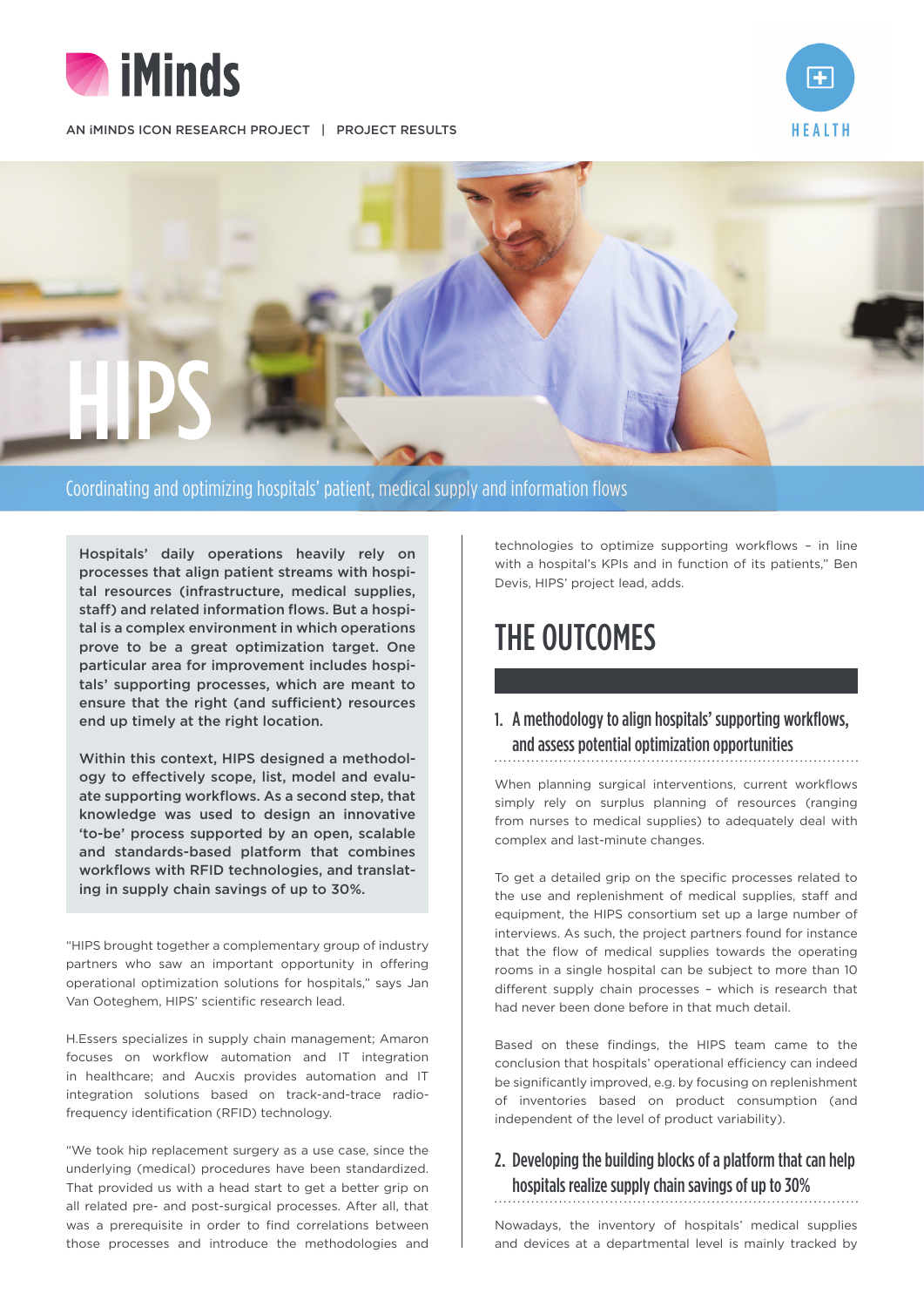

AN IMINDS ICON RESEARCH PROJECT | PROJECT RESULTS





Coordinating and optimizing hospitals' patient, medical supply and information flows

Hospitals' daily operations heavily rely on processes that align patient streams with hospital resources (infrastructure, medical supplies, staff) and related information flows. But a hospital is a complex environment in which operations prove to be a great optimization target. One particular area for improvement includes hospitals' supporting processes, which are meant to ensure that the right (and sufficient) resources end up timely at the right location.

Within this context. HIPS designed a methodology to effectively scope, list, model and evaluate supporting workflows. As a second step, that knowledge was used to design an innovative 'to-be' process supported by an open, scalable and standards-based platform that combines workflows with RFID technologies, and translating in supply chain savings of up to 30%.

"HIPS brought together a complementary group of industry partners who saw an important opportunity in offering operational optimization solutions for hospitals," says Jan Van Ooteghem, HIPS' scientific research lead.

H.Essers specializes in supply chain management; Amaron focuses on workflow automation and IT integration in healthcare; and Aucxis provides automation and IT integration solutions based on track-and-trace radiofrequency identification (RFID) technology.

"We took hip replacement surgery as a use case, since the underlying (medical) procedures have been standardized. That provided us with a head start to get a better grip on all related pre- and post-surgical processes. After all, that was a prerequisite in order to find correlations between those processes and introduce the methodologies and

technologies to optimize supporting workflows – in line with a hospital's KPIs and in function of its patients," Ben Devis, HIPS' project lead, adds.

# THE OUTCOMES

### 1. A methodology to align hospitals' supporting workflows, and assess potential optimization opportunities

When planning surgical interventions, current workflows simply rely on surplus planning of resources (ranging from nurses to medical supplies) to adequately deal with complex and last-minute changes.

To get a detailed grip on the specific processes related to the use and replenishment of medical supplies, staff and equipment, the HIPS consortium set up a large number of interviews. As such, the project partners found for instance that the flow of medical supplies towards the operating rooms in a single hospital can be subject to more than 10 different supply chain processes – which is research that had never been done before in that much detail.

Based on these findings, the HIPS team came to the conclusion that hospitals' operational efficiency can indeed be significantly improved, e.g. by focusing on replenishment of inventories based on product consumption (and independent of the level of product variability).

#### 2. Developing the building blocks of a platform that can help hospitals realize supply chain savings of up to 30%

Nowadays, the inventory of hospitals' medical supplies and devices at a departmental level is mainly tracked by